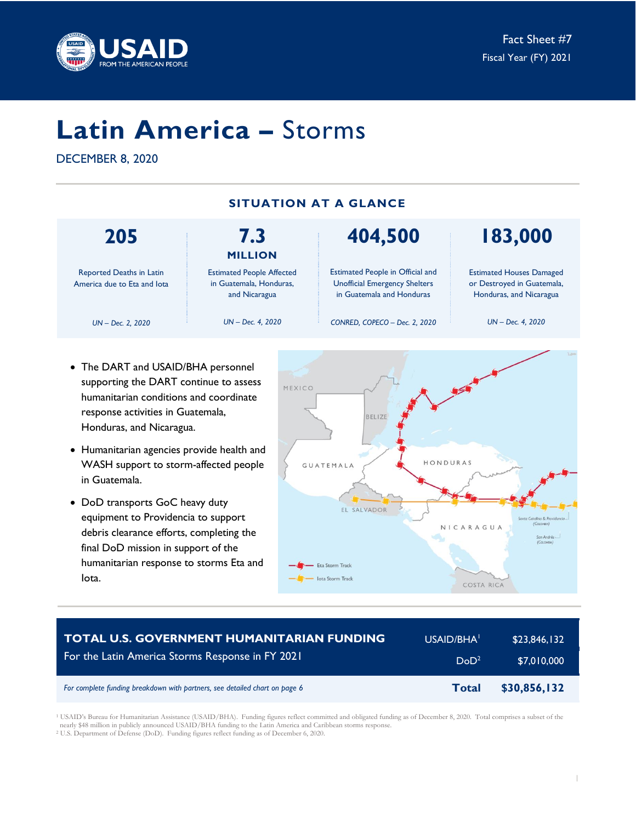

# **Latin America –** Storms

DECEMBER 8, 2020

| <b>SITUATION AT A GLANCE</b>                            |                                                                              |                                                                                                              |                                                                                          |  |  |
|---------------------------------------------------------|------------------------------------------------------------------------------|--------------------------------------------------------------------------------------------------------------|------------------------------------------------------------------------------------------|--|--|
| 205                                                     | 7.3<br><b>MILLION</b>                                                        | 404,500                                                                                                      | 183,000                                                                                  |  |  |
| Reported Deaths in Latin<br>America due to Eta and lota | <b>Estimated People Affected</b><br>in Guatemala, Honduras,<br>and Nicaragua | <b>Estimated People in Official and</b><br><b>Unofficial Emergency Shelters</b><br>in Guatemala and Honduras | <b>Estimated Houses Damaged</b><br>or Destroyed in Guatemala,<br>Honduras, and Nicaragua |  |  |
| $UN - Dec. 2. 2020$                                     | $UN - Dec. 4, 2020$                                                          | CONRED, COPECO - Dec. 2, 2020                                                                                | $UN - Dec. 4, 2020$                                                                      |  |  |

- The DART and USAID/BHA personnel supporting the DART continue to assess humanitarian conditions and coordinate response activities in Guatemala, Honduras, and Nicaragua.
- Humanitarian agencies provide health and WASH support to storm-affected people in Guatemala.
- DoD transports GoC heavy duty equipment to Providencia to support debris clearance efforts, completing the final DoD mission in support of the humanitarian response to storms Eta and Iota.



| <b>TOTAL U.S. GOVERNMENT HUMANITARIAN FUNDING</b>                          | USAID/BHA <sup>1</sup> | \$23,846,132 |
|----------------------------------------------------------------------------|------------------------|--------------|
| For the Latin America Storms Response in FY 2021                           | DoD <sup>2</sup>       | \$7,010,000  |
| For complete funding breakdown with partners, see detailed chart on page 6 | <b>Total</b>           | \$30,856,132 |

<sup>1</sup> USAID's Bureau for Humanitarian Assistance (USAID/BHA). Funding figures reflect committed and obligated funding as of December 8, 2020. Total comprises a subset of the nearly \$48 million in publicly announced USAID/BHA funding to the Latin America and Caribbean storms response. <sup>2</sup> U.S. Department of Defense (DoD). Funding figures reflect funding as of December 6, 2020.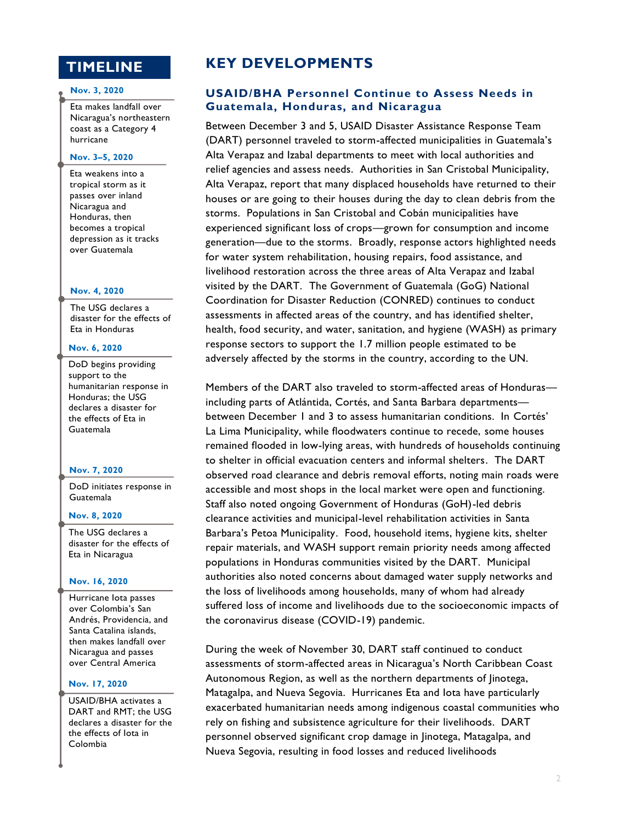# **TIMELINE**

#### **Nov. 3, 2020**

Eta makes landfall over Nicaragua's northeastern coast as a Category 4 hurricane

#### **Nov. 3–5, 2020**

Eta weakens into a tropical storm as it passes over inland Nicaragua and Honduras, then becomes a tropical depression as it tracks over Guatemala

#### **Nov. 4, 2020**

The USG declares a disaster for the effects of Eta in Honduras

#### **Nov. 6, 2020**

DoD begins providing support to the humanitarian response in Honduras; the USG declares a disaster for the effects of Eta in Guatemala

#### **Nov. 7, 2020**

DoD initiates response in Guatemala

#### **Nov. 8, 2020**

The USG declares a disaster for the effects of Eta in Nicaragua

#### **Nov. 16, 2020**

Hurricane Iota passes over Colombia's San Andrés, Providencia, and Santa Catalina islands, then makes landfall over Nicaragua and passes over Central America

#### **Nov. 17, 2020**

USAID/BHA activates a DART and RMT; the USG declares a disaster for the the effects of Iota in Colombia

# **KEY DEVELOPMENTS**

# **USAID/BHA Personnel Continue to Assess Needs in Guatemala, Honduras, and Nicaragua**

Between December 3 and 5, USAID Disaster Assistance Response Team (DART) personnel traveled to storm-affected municipalities in Guatemala's Alta Verapaz and Izabal departments to meet with local authorities and relief agencies and assess needs. Authorities in San Cristobal Municipality, Alta Verapaz, report that many displaced households have returned to their houses or are going to their houses during the day to clean debris from the storms. Populations in San Cristobal and Cobán municipalities have experienced significant loss of crops—grown for consumption and income generation—due to the storms. Broadly, response actors highlighted needs for water system rehabilitation, housing repairs, food assistance, and livelihood restoration across the three areas of Alta Verapaz and Izabal visited by the DART. The Government of Guatemala (GoG) National Coordination for Disaster Reduction (CONRED) continues to conduct assessments in affected areas of the country, and has identified shelter, health, food security, and water, sanitation, and hygiene (WASH) as primary response sectors to support the 1.7 million people estimated to be adversely affected by the storms in the country, according to the UN.

Members of the DART also traveled to storm-affected areas of Honduras including parts of Atlántida, Cortés, and Santa Barbara departments between December 1 and 3 to assess humanitarian conditions. In Cortés' La Lima Municipality, while floodwaters continue to recede, some houses remained flooded in low-lying areas, with hundreds of households continuing to shelter in official evacuation centers and informal shelters. The DART observed road clearance and debris removal efforts, noting main roads were accessible and most shops in the local market were open and functioning. Staff also noted ongoing Government of Honduras (GoH)-led debris clearance activities and municipal-level rehabilitation activities in Santa Barbara's Petoa Municipality. Food, household items, hygiene kits, shelter repair materials, and WASH support remain priority needs among affected populations in Honduras communities visited by the DART. Municipal authorities also noted concerns about damaged water supply networks and the loss of livelihoods among households, many of whom had already suffered loss of income and livelihoods due to the socioeconomic impacts of the coronavirus disease (COVID-19) pandemic.

During the week of November 30, DART staff continued to conduct assessments of storm-affected areas in Nicaragua's North Caribbean Coast Autonomous Region, as well as the northern departments of Jinotega, Matagalpa, and Nueva Segovia. Hurricanes Eta and Iota have particularly exacerbated humanitarian needs among indigenous coastal communities who rely on fishing and subsistence agriculture for their livelihoods. DART personnel observed significant crop damage in Jinotega, Matagalpa, and Nueva Segovia, resulting in food losses and reduced livelihoods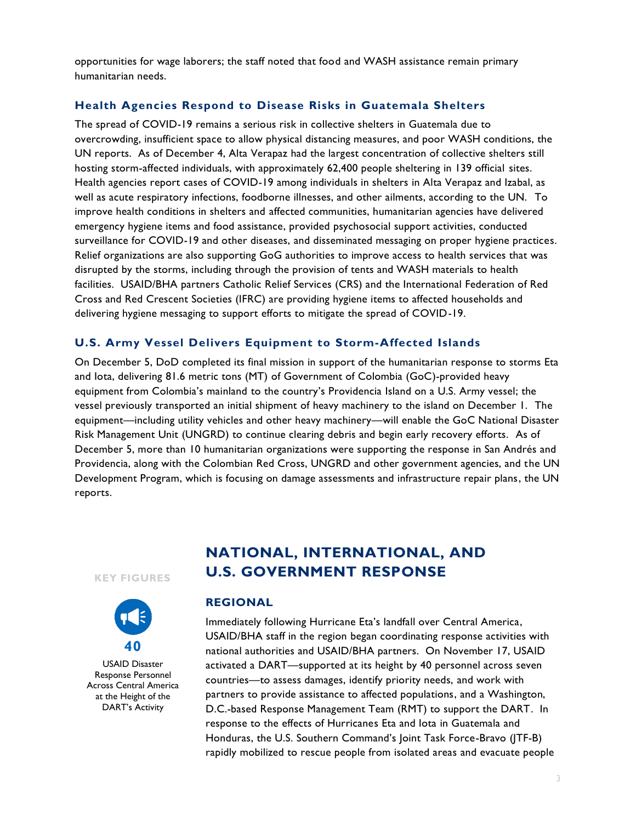opportunities for wage laborers; the staff noted that food and WASH assistance remain primary humanitarian needs.

# **Health Agencies Respond to Disease Risks in Guatemala Shelters**

The spread of COVID-19 remains a serious risk in collective shelters in Guatemala due to overcrowding, insufficient space to allow physical distancing measures, and poor WASH conditions, the UN reports. As of December 4, Alta Verapaz had the largest concentration of collective shelters still hosting storm-affected individuals, with approximately 62,400 people sheltering in 139 official sites. Health agencies report cases of COVID-19 among individuals in shelters in Alta Verapaz and Izabal, as well as acute respiratory infections, foodborne illnesses, and other ailments, according to the UN. To improve health conditions in shelters and affected communities, humanitarian agencies have delivered emergency hygiene items and food assistance, provided psychosocial support activities, conducted surveillance for COVID-19 and other diseases, and disseminated messaging on proper hygiene practices. Relief organizations are also supporting GoG authorities to improve access to health services that was disrupted by the storms, including through the provision of tents and WASH materials to health facilities. USAID/BHA partners Catholic Relief Services (CRS) and the International Federation of Red Cross and Red Crescent Societies (IFRC) are providing hygiene items to affected households and delivering hygiene messaging to support efforts to mitigate the spread of COVID-19.

# **U.S. Army Vessel Delivers Equipment to Storm-Affected Islands**

On December 5, DoD completed its final mission in support of the humanitarian response to storms Eta and Iota, delivering 81.6 metric tons (MT) of Government of Colombia (GoC)-provided heavy equipment from Colombia's mainland to the country's Providencia Island on a U.S. Army vessel; the vessel previously transported an initial shipment of heavy machinery to the island on December 1. The equipment—including utility vehicles and other heavy machinery—will enable the GoC National Disaster Risk Management Unit (UNGRD) to continue clearing debris and begin early recovery efforts. As of December 5, more than 10 humanitarian organizations were supporting the response in San Andrés and Providencia, along with the Colombian Red Cross, UNGRD and other government agencies, and the UN Development Program, which is focusing on damage assessments and infrastructure repair plans, the UN reports.

#### **KEY FIGURES**



USAID Disaster Response Personnel Across Central America at the Height of the DART's Activity

# **NATIONAL, INTERNATIONAL, AND U.S. GOVERNMENT RESPONSE**

### **REGIONAL**

Immediately following Hurricane Eta's landfall over Central America, USAID/BHA staff in the region began coordinating response activities with national authorities and USAID/BHA partners. On November 17, USAID activated a DART—supported at its height by 40 personnel across seven countries—to assess damages, identify priority needs, and work with partners to provide assistance to affected populations, and a Washington, D.C.-based Response Management Team (RMT) to support the DART. In response to the effects of Hurricanes Eta and Iota in Guatemala and Honduras, the U.S. Southern Command's Joint Task Force-Bravo (JTF-B) rapidly mobilized to rescue people from isolated areas and evacuate people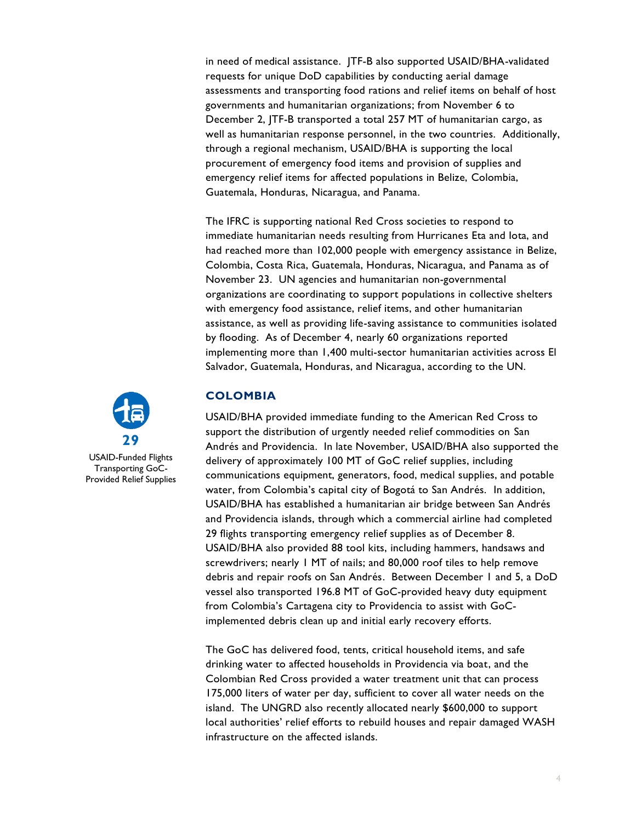in need of medical assistance. JTF-B also supported USAID/BHA-validated requests for unique DoD capabilities by conducting aerial damage assessments and transporting food rations and relief items on behalf of host governments and humanitarian organizations; from November 6 to December 2, JTF-B transported a total 257 MT of humanitarian cargo, as well as humanitarian response personnel, in the two countries. Additionally, through a regional mechanism, USAID/BHA is supporting the local procurement of emergency food items and provision of supplies and emergency relief items for affected populations in Belize, Colombia, Guatemala, Honduras, Nicaragua, and Panama.

The IFRC is supporting national Red Cross societies to respond to immediate humanitarian needs resulting from Hurricanes Eta and Iota, and had reached more than 102,000 people with emergency assistance in Belize, Colombia, Costa Rica, Guatemala, Honduras, Nicaragua, and Panama as of November 23. UN agencies and humanitarian non-governmental organizations are coordinating to support populations in collective shelters with emergency food assistance, relief items, and other humanitarian assistance, as well as providing life-saving assistance to communities isolated by flooding. As of December 4, nearly 60 organizations reported implementing more than 1,400 multi-sector humanitarian activities across El Salvador, Guatemala, Honduras, and Nicaragua, according to the UN.

# **29**

USAID-Funded Flights Transporting GoC-Provided Relief Supplies

# **COLOMBIA**

USAID/BHA provided immediate funding to the American Red Cross to support the distribution of urgently needed relief commodities on San Andrés and Providencia. In late November, USAID/BHA also supported the delivery of approximately 100 MT of GoC relief supplies, including communications equipment, generators, food, medical supplies, and potable water, from Colombia's capital city of Bogotá to San Andrés. In addition, USAID/BHA has established a humanitarian air bridge between San Andrés and Providencia islands, through which a commercial airline had completed 29 flights transporting emergency relief supplies as of December 8. USAID/BHA also provided 88 tool kits, including hammers, handsaws and screwdrivers; nearly 1 MT of nails; and 80,000 roof tiles to help remove debris and repair roofs on San Andrés. Between December 1 and 5, a DoD vessel also transported 196.8 MT of GoC-provided heavy duty equipment from Colombia's Cartagena city to Providencia to assist with GoCimplemented debris clean up and initial early recovery efforts.

The GoC has delivered food, tents, critical household items, and safe drinking water to affected households in Providencia via boat, and the Colombian Red Cross provided a water treatment unit that can process 175,000 liters of water per day, sufficient to cover all water needs on the island. The UNGRD also recently allocated nearly \$600,000 to support local authorities' relief efforts to rebuild houses and repair damaged WASH infrastructure on the affected islands.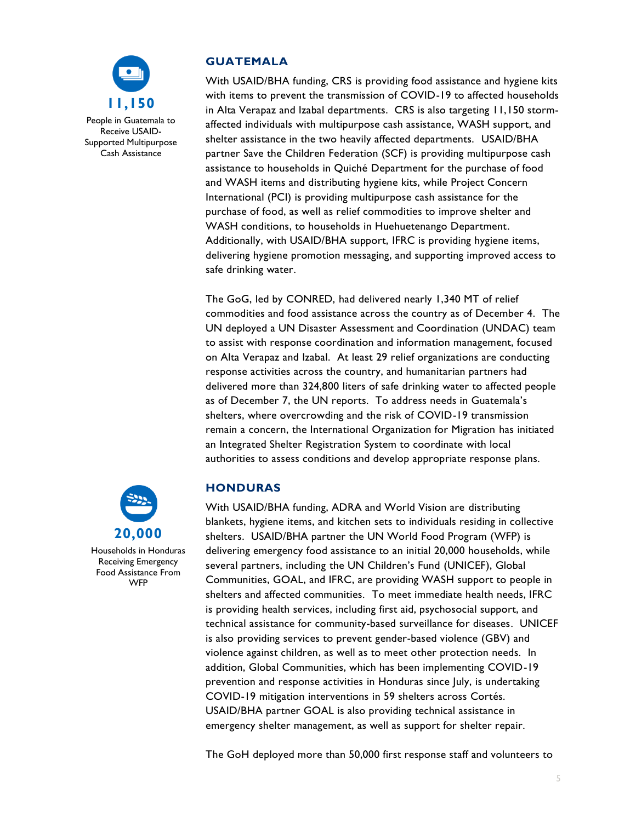

# **GUATEMALA**

With USAID/BHA funding, CRS is providing food assistance and hygiene kits with items to prevent the transmission of COVID-19 to affected households in Alta Verapaz and Izabal departments. CRS is also targeting 11,150 stormaffected individuals with multipurpose cash assistance, WASH support, and shelter assistance in the two heavily affected departments. USAID/BHA partner Save the Children Federation (SCF) is providing multipurpose cash assistance to households in Quiché Department for the purchase of food and WASH items and distributing hygiene kits, while Project Concern International (PCI) is providing multipurpose cash assistance for the purchase of food, as well as relief commodities to improve shelter and WASH conditions, to households in Huehuetenango Department. Additionally, with USAID/BHA support, IFRC is providing hygiene items, delivering hygiene promotion messaging, and supporting improved access to safe drinking water.

The GoG, led by CONRED, had delivered nearly 1,340 MT of relief commodities and food assistance across the country as of December 4. The UN deployed a UN Disaster Assessment and Coordination (UNDAC) team to assist with response coordination and information management, focused on Alta Verapaz and Izabal. At least 29 relief organizations are conducting response activities across the country, and humanitarian partners had delivered more than 324,800 liters of safe drinking water to affected people as of December 7, the UN reports. To address needs in Guatemala's shelters, where overcrowding and the risk of COVID-19 transmission remain a concern, the International Organization for Migration has initiated an Integrated Shelter Registration System to coordinate with local authorities to assess conditions and develop appropriate response plans.

# **HONDURAS**

With USAID/BHA funding, ADRA and World Vision are distributing blankets, hygiene items, and kitchen sets to individuals residing in collective shelters. USAID/BHA partner the UN World Food Program (WFP) is delivering emergency food assistance to an initial 20,000 households, while several partners, including the UN Children's Fund (UNICEF), Global Communities, GOAL, and IFRC, are providing WASH support to people in shelters and affected communities. To meet immediate health needs, IFRC is providing health services, including first aid, psychosocial support, and technical assistance for community-based surveillance for diseases. UNICEF is also providing services to prevent gender-based violence (GBV) and violence against children, as well as to meet other protection needs. In addition, Global Communities, which has been implementing COVID-19 prevention and response activities in Honduras since July, is undertaking COVID-19 mitigation interventions in 59 shelters across Cortés. USAID/BHA partner GOAL is also providing technical assistance in emergency shelter management, as well as support for shelter repair.

The GoH deployed more than 50,000 first response staff and volunteers to

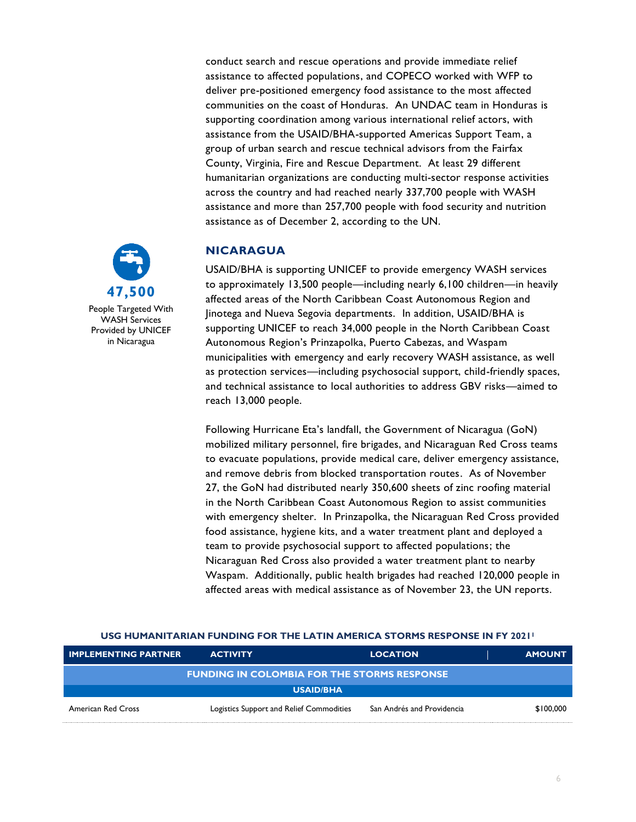conduct search and rescue operations and provide immediate relief assistance to affected populations, and COPECO worked with WFP to deliver pre-positioned emergency food assistance to the most affected communities on the coast of Honduras. An UNDAC team in Honduras is supporting coordination among various international relief actors, with assistance from the USAID/BHA-supported Americas Support Team, a group of urban search and rescue technical advisors from the Fairfax County, Virginia, Fire and Rescue Department. At least 29 different humanitarian organizations are conducting multi-sector response activities across the country and had reached nearly 337,700 people with WASH assistance and more than 257,700 people with food security and nutrition assistance as of December 2, according to the UN.

# **NICARAGUA**

USAID/BHA is supporting UNICEF to provide emergency WASH services to approximately 13,500 people—including nearly 6,100 children—in heavily affected areas of the North Caribbean Coast Autonomous Region and Jinotega and Nueva Segovia departments. In addition, USAID/BHA is supporting UNICEF to reach 34,000 people in the North Caribbean Coast Autonomous Region's Prinzapolka, Puerto Cabezas, and Waspam municipalities with emergency and early recovery WASH assistance, as well as protection services—including psychosocial support, child-friendly spaces, and technical assistance to local authorities to address GBV risks—aimed to reach 13,000 people.

Following Hurricane Eta's landfall, the Government of Nicaragua (GoN) mobilized military personnel, fire brigades, and Nicaraguan Red Cross teams to evacuate populations, provide medical care, deliver emergency assistance, and remove debris from blocked transportation routes. As of November 27, the GoN had distributed nearly 350,600 sheets of zinc roofing material in the North Caribbean Coast Autonomous Region to assist communities with emergency shelter. In Prinzapolka, the Nicaraguan Red Cross provided food assistance, hygiene kits, and a water treatment plant and deployed a team to provide psychosocial support to affected populations; the Nicaraguan Red Cross also provided a water treatment plant to nearby Waspam. Additionally, public health brigades had reached 120,000 people in affected areas with medical assistance as of November 23, the UN reports.

#### **USG HUMANITARIAN FUNDING FOR THE LATIN AMERICA STORMS RESPONSE IN FY 2021<sup>1</sup>**

| <b>IMPLEMENTING PARTNER</b>                        | <b>ACTIVITY</b>                          |                  | <b>LOCATION</b>            | <b>AMOUNT</b> |
|----------------------------------------------------|------------------------------------------|------------------|----------------------------|---------------|
| <b>FUNDING IN COLOMBIA FOR THE STORMS RESPONSE</b> |                                          |                  |                            |               |
|                                                    |                                          | <b>USAID/BHA</b> |                            |               |
| American Red Cross                                 | Logistics Support and Relief Commodities |                  | San Andrés and Providencia | \$100,000     |



People Targeted With WASH Services Provided by UNICEF in Nicaragua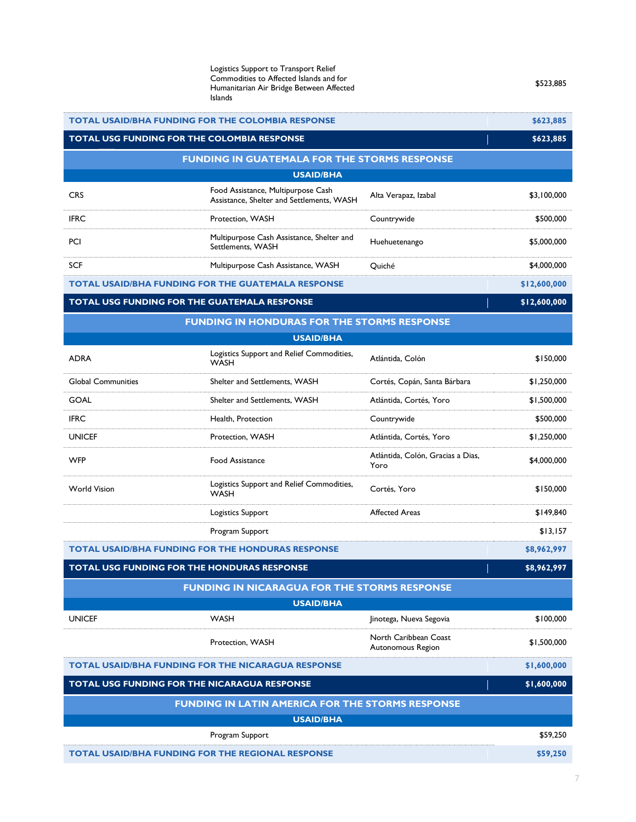| Shelter and Settlements, WASH<br>Cortés, Copán, Santa Bárbara<br>\$1,250,000<br>Shelter and Settlements, WASH<br>Atlántida, Cortés, Yoro<br>\$1,500,000<br>Countrywide<br>\$500,000<br>Health, Protection<br>Atlántida, Cortés, Yoro<br>Protection, WASH<br>\$1,250,000<br>Atlántida, Colón, Gracias a Dias,<br><b>Food Assistance</b><br>\$4,000,000<br>Yoro<br>Logistics Support and Relief Commodities,<br>Cortés, Yoro<br>\$150,000<br><b>WASH</b><br><b>Affected Areas</b><br><b>Logistics Support</b><br>\$149,840<br>Program Support<br>\$13,157<br>\$8,962,997<br><b>TOTAL USG FUNDING FOR THE HONDURAS RESPONSE</b><br>\$8,962,997<br><b>FUNDING IN NICARAGUA FOR THE STORMS RESPONSE</b><br><b>USAID/BHA</b><br><b>WASH</b><br>\$100,000<br>Jinotega, Nueva Segovia<br>North Caribbean Coast<br>Protection, WASH<br>\$1,500,000<br>Autonomous Region<br>\$1,600,000<br>TOTAL USG FUNDING FOR THE NICARAGUA RESPONSE<br>\$1,600,000<br><b>FUNDING IN LATIN AMERICA FOR THE STORMS RESPONSE</b><br><b>USAID/BHA</b><br>Program Support<br>\$59,250<br><b>TOTAL USAID/BHA FUNDING FOR THE REGIONAL RESPONSE</b><br>\$59,250 | ADRA                                                      | <b>WASH</b> | Atlantiga, Colon | OUV,UC I C |
|------------------------------------------------------------------------------------------------------------------------------------------------------------------------------------------------------------------------------------------------------------------------------------------------------------------------------------------------------------------------------------------------------------------------------------------------------------------------------------------------------------------------------------------------------------------------------------------------------------------------------------------------------------------------------------------------------------------------------------------------------------------------------------------------------------------------------------------------------------------------------------------------------------------------------------------------------------------------------------------------------------------------------------------------------------------------------------------------------------------------------------|-----------------------------------------------------------|-------------|------------------|------------|
|                                                                                                                                                                                                                                                                                                                                                                                                                                                                                                                                                                                                                                                                                                                                                                                                                                                                                                                                                                                                                                                                                                                                    | <b>Global Communities</b>                                 |             |                  |            |
|                                                                                                                                                                                                                                                                                                                                                                                                                                                                                                                                                                                                                                                                                                                                                                                                                                                                                                                                                                                                                                                                                                                                    | <b>GOAL</b>                                               |             |                  |            |
|                                                                                                                                                                                                                                                                                                                                                                                                                                                                                                                                                                                                                                                                                                                                                                                                                                                                                                                                                                                                                                                                                                                                    | <b>IFRC</b>                                               |             |                  |            |
|                                                                                                                                                                                                                                                                                                                                                                                                                                                                                                                                                                                                                                                                                                                                                                                                                                                                                                                                                                                                                                                                                                                                    | <b>UNICEF</b>                                             |             |                  |            |
|                                                                                                                                                                                                                                                                                                                                                                                                                                                                                                                                                                                                                                                                                                                                                                                                                                                                                                                                                                                                                                                                                                                                    | <b>WFP</b>                                                |             |                  |            |
|                                                                                                                                                                                                                                                                                                                                                                                                                                                                                                                                                                                                                                                                                                                                                                                                                                                                                                                                                                                                                                                                                                                                    | <b>World Vision</b>                                       |             |                  |            |
|                                                                                                                                                                                                                                                                                                                                                                                                                                                                                                                                                                                                                                                                                                                                                                                                                                                                                                                                                                                                                                                                                                                                    |                                                           |             |                  |            |
|                                                                                                                                                                                                                                                                                                                                                                                                                                                                                                                                                                                                                                                                                                                                                                                                                                                                                                                                                                                                                                                                                                                                    |                                                           |             |                  |            |
|                                                                                                                                                                                                                                                                                                                                                                                                                                                                                                                                                                                                                                                                                                                                                                                                                                                                                                                                                                                                                                                                                                                                    | <b>TOTAL USAID/BHA FUNDING FOR THE HONDURAS RESPONSE</b>  |             |                  |            |
|                                                                                                                                                                                                                                                                                                                                                                                                                                                                                                                                                                                                                                                                                                                                                                                                                                                                                                                                                                                                                                                                                                                                    |                                                           |             |                  |            |
|                                                                                                                                                                                                                                                                                                                                                                                                                                                                                                                                                                                                                                                                                                                                                                                                                                                                                                                                                                                                                                                                                                                                    |                                                           |             |                  |            |
|                                                                                                                                                                                                                                                                                                                                                                                                                                                                                                                                                                                                                                                                                                                                                                                                                                                                                                                                                                                                                                                                                                                                    |                                                           |             |                  |            |
|                                                                                                                                                                                                                                                                                                                                                                                                                                                                                                                                                                                                                                                                                                                                                                                                                                                                                                                                                                                                                                                                                                                                    | <b>UNICEF</b>                                             |             |                  |            |
|                                                                                                                                                                                                                                                                                                                                                                                                                                                                                                                                                                                                                                                                                                                                                                                                                                                                                                                                                                                                                                                                                                                                    |                                                           |             |                  |            |
|                                                                                                                                                                                                                                                                                                                                                                                                                                                                                                                                                                                                                                                                                                                                                                                                                                                                                                                                                                                                                                                                                                                                    | <b>TOTAL USAID/BHA FUNDING FOR THE NICARAGUA RESPONSE</b> |             |                  |            |
|                                                                                                                                                                                                                                                                                                                                                                                                                                                                                                                                                                                                                                                                                                                                                                                                                                                                                                                                                                                                                                                                                                                                    |                                                           |             |                  |            |
|                                                                                                                                                                                                                                                                                                                                                                                                                                                                                                                                                                                                                                                                                                                                                                                                                                                                                                                                                                                                                                                                                                                                    |                                                           |             |                  |            |
|                                                                                                                                                                                                                                                                                                                                                                                                                                                                                                                                                                                                                                                                                                                                                                                                                                                                                                                                                                                                                                                                                                                                    |                                                           |             |                  |            |
|                                                                                                                                                                                                                                                                                                                                                                                                                                                                                                                                                                                                                                                                                                                                                                                                                                                                                                                                                                                                                                                                                                                                    |                                                           |             |                  |            |
|                                                                                                                                                                                                                                                                                                                                                                                                                                                                                                                                                                                                                                                                                                                                                                                                                                                                                                                                                                                                                                                                                                                                    |                                                           |             |                  |            |
|                                                                                                                                                                                                                                                                                                                                                                                                                                                                                                                                                                                                                                                                                                                                                                                                                                                                                                                                                                                                                                                                                                                                    |                                                           |             |                  |            |

## **TOTAL USG FUNDING FOR THE GUATEMALA RESPONSE <b>ALCORATIONS IN A SET OF A SET OF A SET OF A SET OF A SET OF A SET OF A SET OF A SET OF A SET OF A SET OF A SET OF A SET OF A SET OF A SET OF A SET OF A SET OF A SET OF A SET**

CRS Food Assistance, Multipurpose Cash

PCI Multipurpose Cash Assistance, Shelter and

| <b>FUNDING IN HONDURAS FOR THE STORMS RESPONSE</b> |                                                          |                                   |             |
|----------------------------------------------------|----------------------------------------------------------|-----------------------------------|-------------|
|                                                    | <b>USAID/BHA</b>                                         |                                   |             |
| <b>ADRA</b>                                        | Logistics Support and Relief Commodities,<br><b>WASH</b> | Atlántida, Colón                  | \$150,000   |
| Global Communities                                 | Shelter and Settlements, WASH                            | Cortés, Copán, Santa Bárbara      | \$1,250,000 |
| GOAL                                               | Shelter and Settlements, WASH                            | Atlántida, Cortés, Yoro           | \$1,500,000 |
| <b>IFRC</b>                                        | Health, Protection                                       | Countrywide                       | \$500,000   |
| <b>UNICFF</b>                                      | Protection, WASH                                         | Atlántida, Cortés, Yoro           | \$1,250,000 |
|                                                    |                                                          | Atlántida, Colón, Gracias a Dias. |             |

| IFRC<br>$\sim$ | <b>WASH</b><br><sup>p</sup> rotection.<br>. | countrywide<br>.<br>$\sim$ | \$500.000 |
|----------------|---------------------------------------------|----------------------------|-----------|

|                                                          | Commodities to Affected Islands and for<br>Humanitarian Air Bridge Between Affected<br><b>Islands</b> | \$523.885 |
|----------------------------------------------------------|-------------------------------------------------------------------------------------------------------|-----------|
| <b>TOTAL USAID/BHA FUNDING FOR THE COLOMBIA RESPONSE</b> |                                                                                                       | \$623,885 |

**FUNDING IN GUATEMALA FOR THE STORMS RESPONSE USAID/BHA**

SCF SCR SUM Multipurpose Cash Assistance, WASH Quiché Cuiché \$4,000,000

Food Assistance, Multipurpose Cash<br>Assistance, Shelter and Settlements, WASH Alta Verapaz, Izabal **1986** (\$3,100,000

Pulitipurpose Cash Assistance, Sheiter and Huehuetenango<br>Settlements, WASH Settlements, WASH

Logistics Support to Transport Relief

**TOTAL USG FUNDING FOR THE COLOMBIA RESPONSE <b>ACCOMMENDATION 5623,885** 

**TOTAL USAID/BHA FUNDING FOR THE GUATEMALA RESPONSE \$12,600,000**